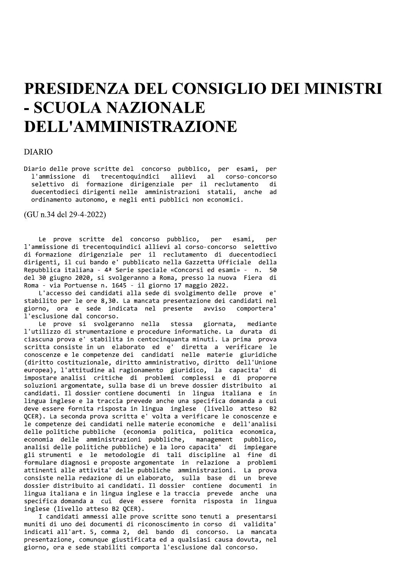## PRESIDENZA DEL CONSIGLIO DEI MINISTRI - SCUOLA NAZIONALE **DELL'AMMINISTRAZIONE**

## **DIARIO**

Diario delle prove scritte del concorso pubblico, per esami, per l'ammissione di trecentoquindici allievi al corso-concorso selettivo di formazione dirigenziale per il reclutamento di duecentodieci dirigenti nelle amministrazioni statali, anche ad ordinamento autonomo, e negli enti pubblici non economici.

(GU n.34 del 29-4-2022)

Le prove scritte del concorso pubblico, per esami. ner l'ammissione di trecentoquindici allievi al corso-concorso selettivo di formazione dirigenziale per il reclutamento di duecentodieci dirigenti, il cui bando e' pubblicato nella Gazzetta Ufficiale della Repubblica italiana - 4ª Serie speciale «Concorsi ed esami» - n. 50 del 30 giugno 2020, si svolgeranno a Roma, presso la nuova Fiera di Roma - via Portuense n. 1645 - il giorno 17 maggio 2022.

L'accesso dei candidati alla sede di svolgimento delle prove e' stabilito per le ore 8,30. La mancata presentazione dei candidati nel giorno, ora e sede indicata nel presente avviso comportera' l'esclusione dal concorso.

Le prove si svolgeranno nella stessa giornata, mediante l'utilizzo di strumentazione e procedure informatiche. La durata di ciascuna prova e' stabilita in centocinquanta minuti. La prima prova scritta consiste in un elaborato ed e' diretta a verificare le conoscenze e le competenze dei candidati nelle materie giuridiche (diritto costituzionale, diritto amministrativo, diritto dell'Unione europea), l'attitudine al ragionamento giuridico, la capacita' di impostare analisi critiche di problemi complessi e di proporre soluzioni argomentate, sulla base di un breve dossier distribuito ai candidati. Il dossier contiene documenti in lingua italiana e in lingua inglese e la traccia prevede anche una specifica domanda a cui deve essere fornita risposta in lingua inglese (livello atteso B2 QCER). La seconda prova scritta e' volta a verificare le conoscenze e le competenze dei candidati nelle materie economiche e dell'analisi delle politiche pubbliche (economia politica, politica economica, economia delle amministrazioni pubbliche, management pubblico. analisi delle politiche pubbliche) e la loro capacita' di impiegare gli strumenti e le metodologie di tali discipline al fine di formulare diagnosi e proposte argomentate in relazione a problemi attinenti alle attivita' delle pubbliche amministrazioni. La prova consiste nella redazione di un elaborato, sulla base di un breve dossier distribuito ai candidati. Il dossier contiene documenti in lingua italiana e in lingua inglese e la traccia prevede anche una specifica domanda a cui deve essere fornita risposta in lingua inglese (livello atteso B2 QCER).

I candidati ammessi alle prove scritte sono tenuti a presentarsi muniti di uno dei documenti di riconoscimento in corso di validita' indicati all'art. 5, comma 2, del bando di concorso. La mancata presentazione, comunque giustificata ed a qualsiasi causa dovuta, nel giorno, ora e sede stabiliti comporta l'esclusione dal concorso.